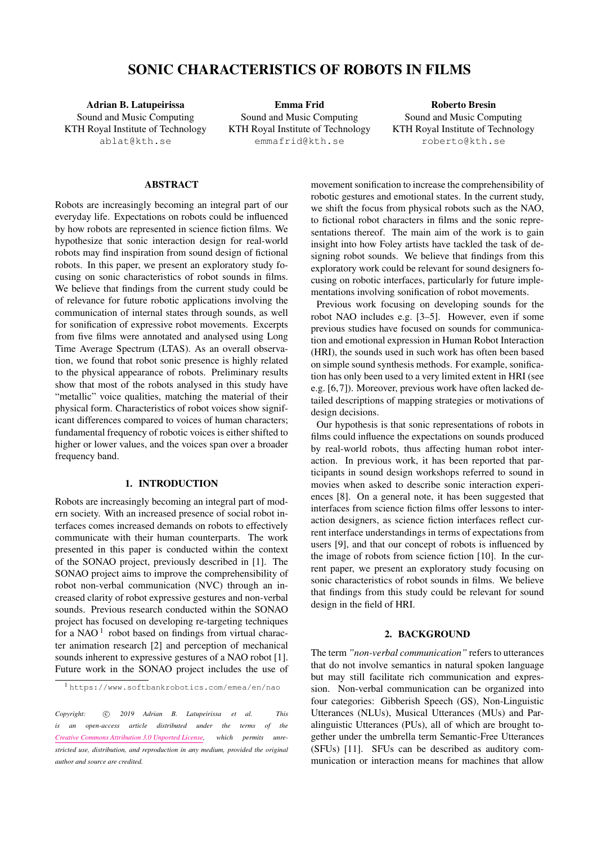# SONIC CHARACTERISTICS OF ROBOTS IN FILMS

Adrian B. Latupeirissa Sound and Music Computing KTH Royal Institute of Technology [ablat@kth.se](mailto:ablat@kth.se)

Emma Frid Sound and Music Computing KTH Royal Institute of Technology [emmafrid@kth.se](mailto:emmafrid@kth.se)

Roberto Bresin Sound and Music Computing KTH Royal Institute of Technology [roberto@kth.se](mailto:roberto@kth.se)

# ABSTRACT

Robots are increasingly becoming an integral part of our everyday life. Expectations on robots could be influenced by how robots are represented in science fiction films. We hypothesize that sonic interaction design for real-world robots may find inspiration from sound design of fictional robots. In this paper, we present an exploratory study focusing on sonic characteristics of robot sounds in films. We believe that findings from the current study could be of relevance for future robotic applications involving the communication of internal states through sounds, as well for sonification of expressive robot movements. Excerpts from five films were annotated and analysed using Long Time Average Spectrum (LTAS). As an overall observation, we found that robot sonic presence is highly related to the physical appearance of robots. Preliminary results show that most of the robots analysed in this study have "metallic" voice qualities, matching the material of their physical form. Characteristics of robot voices show significant differences compared to voices of human characters; fundamental frequency of robotic voices is either shifted to higher or lower values, and the voices span over a broader frequency band.

# 1. INTRODUCTION

Robots are increasingly becoming an integral part of modern society. With an increased presence of social robot interfaces comes increased demands on robots to effectively communicate with their human counterparts. The work presented in this paper is conducted within the context of the SONAO project, previously described in [\[1\]](#page-4-0). The SONAO project aims to improve the comprehensibility of robot non-verbal communication (NVC) through an increased clarity of robot expressive gestures and non-verbal sounds. Previous research conducted within the SONAO project has focused on developing re-targeting techniques for a NAO $<sup>1</sup>$  $<sup>1</sup>$  $<sup>1</sup>$  robot based on findings from virtual charac-</sup> ter animation research [\[2\]](#page-4-1) and perception of mechanical sounds inherent to expressive gestures of a NAO robot [\[1\]](#page-4-0). Future work in the SONAO project includes the use of movement sonification to increase the comprehensibility of robotic gestures and emotional states. In the current study, we shift the focus from physical robots such as the NAO, to fictional robot characters in films and the sonic representations thereof. The main aim of the work is to gain insight into how Foley artists have tackled the task of designing robot sounds. We believe that findings from this exploratory work could be relevant for sound designers focusing on robotic interfaces, particularly for future implementations involving sonification of robot movements.

Previous work focusing on developing sounds for the robot NAO includes e.g. [\[3–](#page-4-2)[5\]](#page-4-3). However, even if some previous studies have focused on sounds for communication and emotional expression in Human Robot Interaction (HRI), the sounds used in such work has often been based on simple sound synthesis methods. For example, sonification has only been used to a very limited extent in HRI (see e.g. [\[6,](#page-4-4)[7\]](#page-4-5)). Moreover, previous work have often lacked detailed descriptions of mapping strategies or motivations of design decisions.

Our hypothesis is that sonic representations of robots in films could influence the expectations on sounds produced by real-world robots, thus affecting human robot interaction. In previous work, it has been reported that participants in sound design workshops referred to sound in movies when asked to describe sonic interaction experiences [\[8\]](#page-4-6). On a general note, it has been suggested that interfaces from science fiction films offer lessons to interaction designers, as science fiction interfaces reflect current interface understandings in terms of expectations from users [\[9\]](#page-4-7), and that our concept of robots is influenced by the image of robots from science fiction [\[10\]](#page-4-8). In the current paper, we present an exploratory study focusing on sonic characteristics of robot sounds in films. We believe that findings from this study could be relevant for sound design in the field of HRI.

### 2. BACKGROUND

The term *"non-verbal communication"* refers to utterances that do not involve semantics in natural spoken language but may still facilitate rich communication and expression. Non-verbal communication can be organized into four categories: Gibberish Speech (GS), Non-Linguistic Utterances (NLUs), Musical Utterances (MUs) and Paralinguistic Utterances (PUs), all of which are brought together under the umbrella term Semantic-Free Utterances (SFUs) [\[11\]](#page-4-9). SFUs can be described as auditory communication or interaction means for machines that allow

<span id="page-0-0"></span><sup>1</sup> <https://www.softbankrobotics.com/emea/en/nao>

Copyright: 
C 2019 Adrian B. Latupeirissa et al. This *is an open-access article distributed under the terms of the [Creative Commons Attribution 3.0 Unported License,](http://creativecommons.org/licenses/by/3.0/) which permits unrestricted use, distribution, and reproduction in any medium, provided the original author and source are credited.*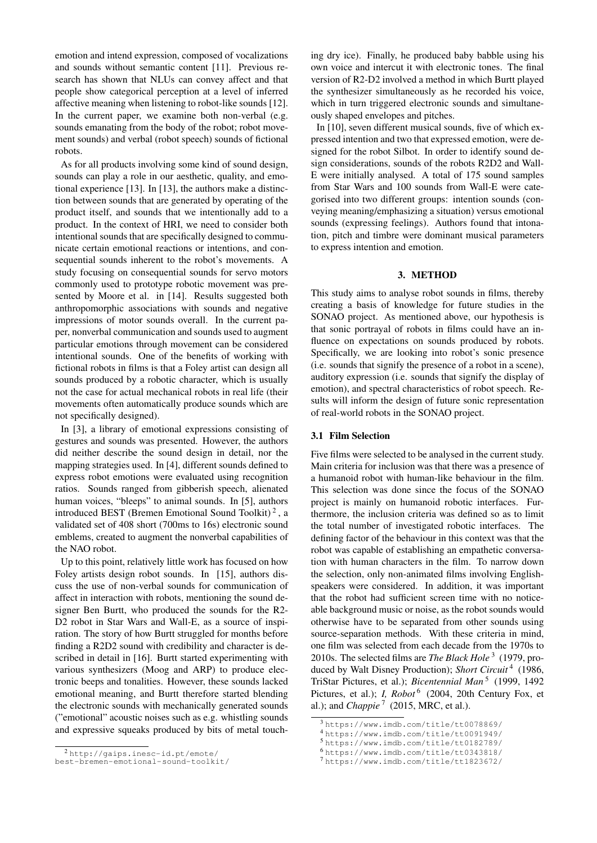emotion and intend expression, composed of vocalizations and sounds without semantic content [\[11\]](#page-4-9). Previous research has shown that NLUs can convey affect and that people show categorical perception at a level of inferred affective meaning when listening to robot-like sounds [\[12\]](#page-4-10). In the current paper, we examine both non-verbal (e.g. sounds emanating from the body of the robot; robot movement sounds) and verbal (robot speech) sounds of fictional robots.

As for all products involving some kind of sound design, sounds can play a role in our aesthetic, quality, and emotional experience [\[13\]](#page-4-11). In [\[13\]](#page-4-11), the authors make a distinction between sounds that are generated by operating of the product itself, and sounds that we intentionally add to a product. In the context of HRI, we need to consider both intentional sounds that are specifically designed to communicate certain emotional reactions or intentions, and consequential sounds inherent to the robot's movements. A study focusing on consequential sounds for servo motors commonly used to prototype robotic movement was presented by Moore et al. in [\[14\]](#page-5-0). Results suggested both anthropomorphic associations with sounds and negative impressions of motor sounds overall. In the current paper, nonverbal communication and sounds used to augment particular emotions through movement can be considered intentional sounds. One of the benefits of working with fictional robots in films is that a Foley artist can design all sounds produced by a robotic character, which is usually not the case for actual mechanical robots in real life (their movements often automatically produce sounds which are not specifically designed).

In [\[3\]](#page-4-2), a library of emotional expressions consisting of gestures and sounds was presented. However, the authors did neither describe the sound design in detail, nor the mapping strategies used. In [\[4\]](#page-4-12), different sounds defined to express robot emotions were evaluated using recognition ratios. Sounds ranged from gibberish speech, alienated human voices, "bleeps" to animal sounds. In [\[5\]](#page-4-3), authors introduced BEST (Bremen Emotional Sound Toolkit)<sup>[2](#page-1-0)</sup>, a validated set of 408 short (700ms to 16s) electronic sound emblems, created to augment the nonverbal capabilities of the NAO robot.

Up to this point, relatively little work has focused on how Foley artists design robot sounds. In [\[15\]](#page-5-1), authors discuss the use of non-verbal sounds for communication of affect in interaction with robots, mentioning the sound designer Ben Burtt, who produced the sounds for the R2- D2 robot in Star Wars and Wall-E, as a source of inspiration. The story of how Burtt struggled for months before finding a R2D2 sound with credibility and character is described in detail in [\[16\]](#page-5-2). Burtt started experimenting with various synthesizers (Moog and ARP) to produce electronic beeps and tonalities. However, these sounds lacked emotional meaning, and Burtt therefore started blending the electronic sounds with mechanically generated sounds ("emotional" acoustic noises such as e.g. whistling sounds and expressive squeaks produced by bits of metal touching dry ice). Finally, he produced baby babble using his own voice and intercut it with electronic tones. The final version of R2-D2 involved a method in which Burtt played the synthesizer simultaneously as he recorded his voice, which in turn triggered electronic sounds and simultaneously shaped envelopes and pitches.

In [\[10\]](#page-4-8), seven different musical sounds, five of which expressed intention and two that expressed emotion, were designed for the robot Silbot. In order to identify sound design considerations, sounds of the robots R2D2 and Wall-E were initially analysed. A total of 175 sound samples from Star Wars and 100 sounds from Wall-E were categorised into two different groups: intention sounds (conveying meaning/emphasizing a situation) versus emotional sounds (expressing feelings). Authors found that intonation, pitch and timbre were dominant musical parameters to express intention and emotion.

#### 3. METHOD

This study aims to analyse robot sounds in films, thereby creating a basis of knowledge for future studies in the SONAO project. As mentioned above, our hypothesis is that sonic portrayal of robots in films could have an influence on expectations on sounds produced by robots. Specifically, we are looking into robot's sonic presence (i.e. sounds that signify the presence of a robot in a scene), auditory expression (i.e. sounds that signify the display of emotion), and spectral characteristics of robot speech. Results will inform the design of future sonic representation of real-world robots in the SONAO project.

## 3.1 Film Selection

Five films were selected to be analysed in the current study. Main criteria for inclusion was that there was a presence of a humanoid robot with human-like behaviour in the film. This selection was done since the focus of the SONAO project is mainly on humanoid robotic interfaces. Furthermore, the inclusion criteria was defined so as to limit the total number of investigated robotic interfaces. The defining factor of the behaviour in this context was that the robot was capable of establishing an empathetic conversation with human characters in the film. To narrow down the selection, only non-animated films involving Englishspeakers were considered. In addition, it was important that the robot had sufficient screen time with no noticeable background music or noise, as the robot sounds would otherwise have to be separated from other sounds using source-separation methods. With these criteria in mind, one film was selected from each decade from the 1970s to 2010s. The selected films are *The Black Hole* [3](#page-1-1) (1979, produced by Walt Disney Production); *Short Circuit* [4](#page-1-2) (1986, TriStar Pictures, et al.); *Bicentennial Man*<sup>[5](#page-1-3)</sup> (1999, 1492) Pictures, et al.); *I, Robot*<sup>[6](#page-1-4)</sup> (2004, 20th Century Fox, et al.); and *Chappie*<sup>[7](#page-1-5)</sup> (2015, MRC, et al.).

<span id="page-1-0"></span><sup>2</sup> [http://gaips.inesc-id.pt/emote/](http://gaips.inesc-id.pt/emote/best-bremen-emotional-sound-toolkit/)

[best-bremen-emotional-sound-toolkit/](http://gaips.inesc-id.pt/emote/best-bremen-emotional-sound-toolkit/)

<span id="page-1-1"></span><sup>3</sup> <https://www.imdb.com/title/tt0078869/>

<span id="page-1-2"></span><sup>4</sup> <https://www.imdb.com/title/tt0091949/>

<span id="page-1-3"></span><sup>5</sup> <https://www.imdb.com/title/tt0182789/> <sup>6</sup> <https://www.imdb.com/title/tt0343818/>

<span id="page-1-5"></span><span id="page-1-4"></span><sup>7</sup> <https://www.imdb.com/title/tt1823672/>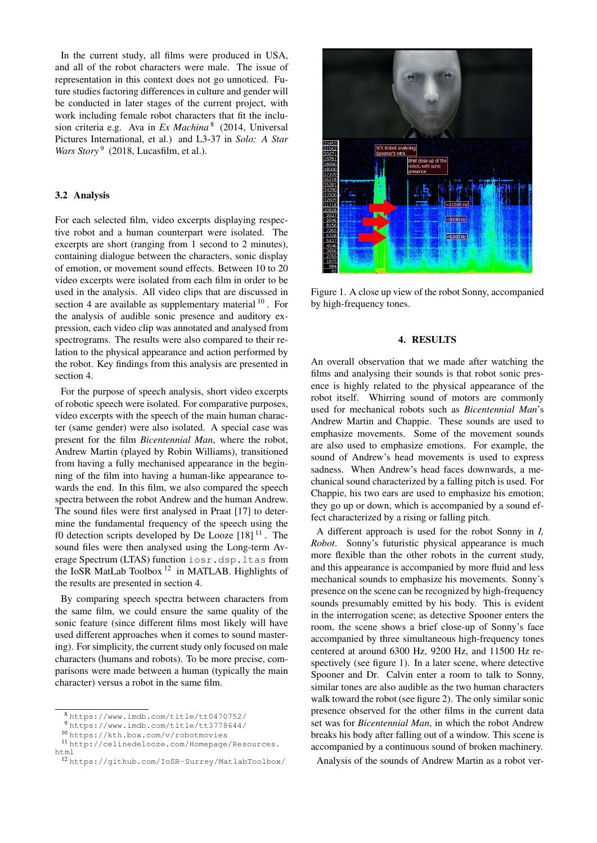In the current study, all films were produced in USA, and all of the robot characters were male. The issue of representation in this context does not go unnoticed. Future studies factoring differences in culture and gender will be conducted in later stages of the current project, with work including female robot characters that fit the inclusion criteria e.g. Ava in *Ex Machina* [8](#page-2-0) (2014, Universal Pictures International, et al.) and L3-37 in *Solo: A Star* Wars Story<sup>[9](#page-2-1)</sup> (2018, Lucasfilm, et al.).

# 3.2 Analysis

For each selected film, video excerpts displaying respective robot and a human counterpart were isolated. The excerpts are short (ranging from 1 second to 2 minutes), containing dialogue between the characters, sonic display of emotion, or movement sound effects. Between 10 to 20 video excerpts were isolated from each film in order to be used in the analysis. All video clips that are discussed in section [4](#page-2-2) are available as supplementary material  $10$ . For the analysis of audible sonic presence and auditory expression, each video clip was annotated and analysed from spectrograms. The results were also compared to their relation to the physical appearance and action performed by the robot. Key findings from this analysis are presented in section [4.](#page-2-2)

For the purpose of speech analysis, short video excerpts of robotic speech were isolated. For comparative purposes, video excerpts with the speech of the main human character (same gender) were also isolated. A special case was present for the film *Bicentennial Man*, where the robot, Andrew Martin (played by Robin Williams), transitioned from having a fully mechanised appearance in the beginning of the film into having a human-like appearance towards the end. In this film, we also compared the speech spectra between the robot Andrew and the human Andrew. The sound files were first analysed in Praat [\[17\]](#page-5-3) to determine the fundamental frequency of the speech using the f0 detection scripts developed by De Looze  $[18]$ <sup>[11](#page-2-4)</sup>. The sound files were then analysed using the Long-term Average Spectrum (LTAS) function iosr.dsp.ltas from the IoSR MatLab Toolbox [12](#page-2-5) in MATLAB. Highlights of the results are presented in section [4.](#page-2-2)

By comparing speech spectra between characters from the same film, we could ensure the same quality of the sonic feature (since different films most likely will have used different approaches when it comes to sound mastering). For simplicity, the current study only focused on male characters (humans and robots). To be more precise, comparisons were made between a human (typically the main character) versus a robot in the same film.

<span id="page-2-6"></span>

Figure 1. A close up view of the robot Sonny, accompanied by high-frequency tones.

### 4. RESULTS

<span id="page-2-2"></span>An overall observation that we made after watching the films and analysing their sounds is that robot sonic presence is highly related to the physical appearance of the robot itself. Whirring sound of motors are commonly used for mechanical robots such as *Bicentennial Man*'s Andrew Martin and Chappie. These sounds are used to emphasize movements. Some of the movement sounds are also used to emphasize emotions. For example, the sound of Andrew's head movements is used to express sadness. When Andrew's head faces downwards, a mechanical sound characterized by a falling pitch is used. For Chappie, his two ears are used to emphasize his emotion; they go up or down, which is accompanied by a sound effect characterized by a rising or falling pitch.

A different approach is used for the robot Sonny in *I, Robot*. Sonny's futuristic physical appearance is much more flexible than the other robots in the current study, and this appearance is accompanied by more fluid and less mechanical sounds to emphasize his movements. Sonny's presence on the scene can be recognized by high-frequency sounds presumably emitted by his body. This is evident in the interrogation scene; as detective Spooner enters the room, the scene shows a brief close-up of Sonny's face accompanied by three simultaneous high-frequency tones centered at around 6300 Hz, 9200 Hz, and 11500 Hz respectively (see figure [1\)](#page-2-6). In a later scene, where detective Spooner and Dr. Calvin enter a room to talk to Sonny, similar tones are also audible as the two human characters walk toward the robot (see figure [2\)](#page-3-0). The only similar sonic presence observed for the other films in the current data set was for *Bicentennial Man*, in which the robot Andrew breaks his body after falling out of a window. This scene is accompanied by a continuous sound of broken machinery.

Analysis of the sounds of Andrew Martin as a robot ver-

<span id="page-2-0"></span><sup>8</sup> <https://www.imdb.com/title/tt0470752/>

<span id="page-2-1"></span><sup>9</sup> <https://www.imdb.com/title/tt3778644/>

<span id="page-2-4"></span><span id="page-2-3"></span><sup>10</sup> <https://kth.box.com/v/robotmovies>

<sup>11</sup> [http://celinedelooze.com/Homepage/Resources.](http://celinedelooze.com/Homepage/Resources.html) [html](http://celinedelooze.com/Homepage/Resources.html)

<span id="page-2-5"></span><sup>12</sup> <https://github.com/IoSR-Surrey/MatlabToolbox/>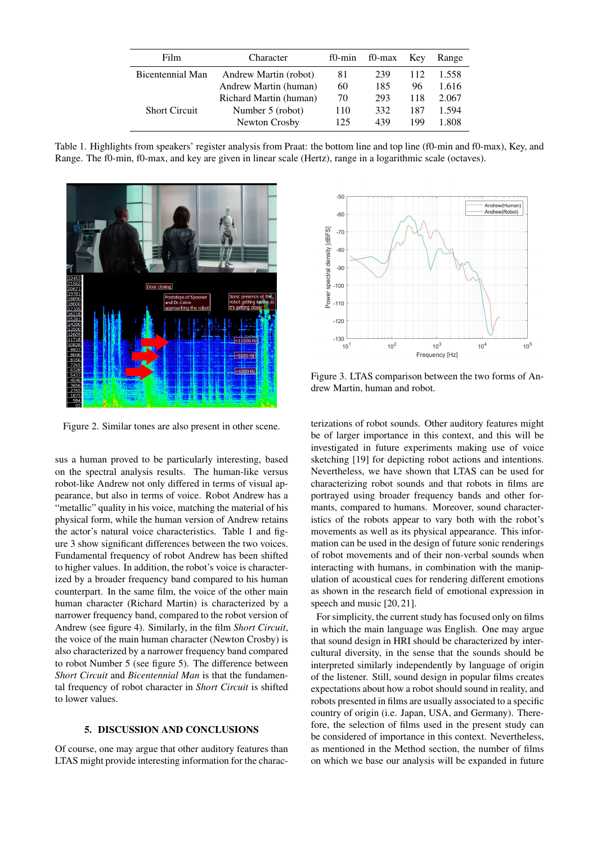| Film                    | Character              | $f0$ -min | f0-max | Kev | Range |
|-------------------------|------------------------|-----------|--------|-----|-------|
| <b>Bicentennial Man</b> | Andrew Martin (robot)  | 81        | 239    | 112 | 1.558 |
|                         | Andrew Martin (human)  | 60        | 185    | 96  | 1.616 |
|                         | Richard Martin (human) | 70        | 293    | 118 | 2.067 |
| <b>Short Circuit</b>    | Number 5 (robot)       | 110       | 332    | 187 | 1.594 |
|                         | Newton Crosby          | 125       | 439    | 199 | 1.808 |

<span id="page-3-1"></span>Table 1. Highlights from speakers' register analysis from Praat: the bottom line and top line (f0-min and f0-max), Key, and Range. The f0-min, f0-max, and key are given in linear scale (Hertz), range in a logarithmic scale (octaves).

<span id="page-3-0"></span>

Figure 2. Similar tones are also present in other scene.

sus a human proved to be particularly interesting, based on the spectral analysis results. The human-like versus robot-like Andrew not only differed in terms of visual appearance, but also in terms of voice. Robot Andrew has a "metallic" quality in his voice, matching the material of his physical form, while the human version of Andrew retains the actor's natural voice characteristics. Table [1](#page-3-1) and figure [3](#page-3-2) show significant differences between the two voices. Fundamental frequency of robot Andrew has been shifted to higher values. In addition, the robot's voice is characterized by a broader frequency band compared to his human counterpart. In the same film, the voice of the other main human character (Richard Martin) is characterized by a narrower frequency band, compared to the robot version of Andrew (see figure [4\)](#page-4-13). Similarly, in the film *Short Circuit*, the voice of the main human character (Newton Crosby) is also characterized by a narrower frequency band compared to robot Number 5 (see figure [5\)](#page-4-14). The difference between *Short Circuit* and *Bicentennial Man* is that the fundamental frequency of robot character in *Short Circuit* is shifted to lower values.

# 5. DISCUSSION AND CONCLUSIONS

Of course, one may argue that other auditory features than LTAS might provide interesting information for the charac-

<span id="page-3-2"></span>

Figure 3. LTAS comparison between the two forms of Andrew Martin, human and robot.

terizations of robot sounds. Other auditory features might be of larger importance in this context, and this will be investigated in future experiments making use of voice sketching [\[19\]](#page-5-5) for depicting robot actions and intentions. Nevertheless, we have shown that LTAS can be used for characterizing robot sounds and that robots in films are portrayed using broader frequency bands and other formants, compared to humans. Moreover, sound characteristics of the robots appear to vary both with the robot's movements as well as its physical appearance. This information can be used in the design of future sonic renderings of robot movements and of their non-verbal sounds when interacting with humans, in combination with the manipulation of acoustical cues for rendering different emotions as shown in the research field of emotional expression in speech and music [\[20,](#page-5-6) [21\]](#page-5-7).

For simplicity, the current study has focused only on films in which the main language was English. One may argue that sound design in HRI should be characterized by intercultural diversity, in the sense that the sounds should be interpreted similarly independently by language of origin of the listener. Still, sound design in popular films creates expectations about how a robot should sound in reality, and robots presented in films are usually associated to a specific country of origin (i.e. Japan, USA, and Germany). Therefore, the selection of films used in the present study can be considered of importance in this context. Nevertheless, as mentioned in the Method section, the number of films on which we base our analysis will be expanded in future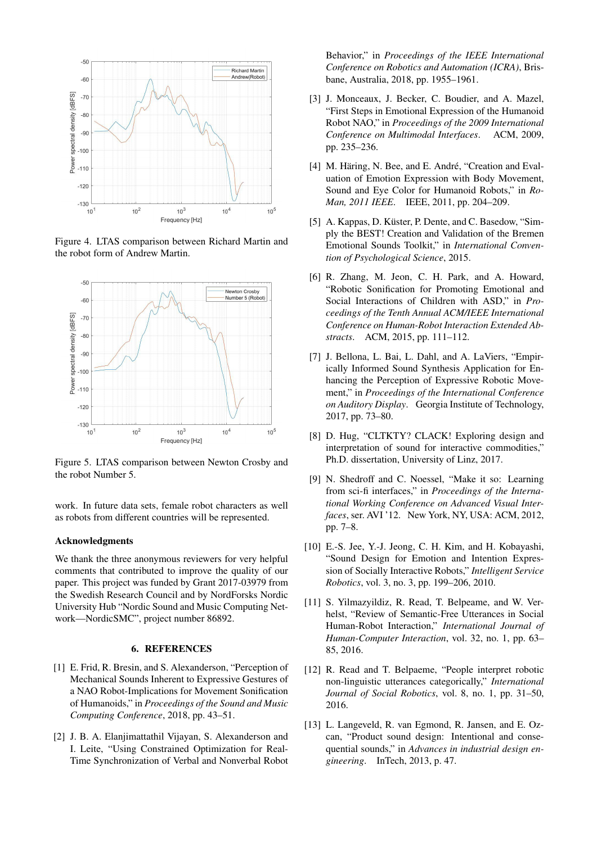<span id="page-4-13"></span>

Figure 4. LTAS comparison between Richard Martin and the robot form of Andrew Martin.

<span id="page-4-14"></span>

Figure 5. LTAS comparison between Newton Crosby and the robot Number 5.

work. In future data sets, female robot characters as well as robots from different countries will be represented.

## Acknowledgments

We thank the three anonymous reviewers for very helpful comments that contributed to improve the quality of our paper. This project was funded by Grant 2017-03979 from the Swedish Research Council and by NordForsks Nordic University Hub "Nordic Sound and Music Computing Network—NordicSMC", project number 86892.

### 6. REFERENCES

- <span id="page-4-0"></span>[1] E. Frid, R. Bresin, and S. Alexanderson, "Perception of Mechanical Sounds Inherent to Expressive Gestures of a NAO Robot-Implications for Movement Sonification of Humanoids," in *Proceedings of the Sound and Music Computing Conference*, 2018, pp. 43–51.
- <span id="page-4-1"></span>[2] J. B. A. Elanjimattathil Vijayan, S. Alexanderson and I. Leite, "Using Constrained Optimization for Real-Time Synchronization of Verbal and Nonverbal Robot

Behavior," in *Proceedings of the IEEE International Conference on Robotics and Automation (ICRA)*, Brisbane, Australia, 2018, pp. 1955–1961.

- <span id="page-4-2"></span>[3] J. Monceaux, J. Becker, C. Boudier, and A. Mazel, "First Steps in Emotional Expression of the Humanoid Robot NAO," in *Proceedings of the 2009 International Conference on Multimodal Interfaces*. ACM, 2009, pp. 235–236.
- <span id="page-4-12"></span>[4] M. Häring, N. Bee, and E. André, "Creation and Evaluation of Emotion Expression with Body Movement, Sound and Eye Color for Humanoid Robots," in *Ro-Man, 2011 IEEE*. IEEE, 2011, pp. 204–209.
- <span id="page-4-3"></span>[5] A. Kappas, D. Küster, P. Dente, and C. Basedow, "Simply the BEST! Creation and Validation of the Bremen Emotional Sounds Toolkit," in *International Convention of Psychological Science*, 2015.
- <span id="page-4-4"></span>[6] R. Zhang, M. Jeon, C. H. Park, and A. Howard, "Robotic Sonification for Promoting Emotional and Social Interactions of Children with ASD," in *Proceedings of the Tenth Annual ACM/IEEE International Conference on Human-Robot Interaction Extended Abstracts*. ACM, 2015, pp. 111–112.
- <span id="page-4-5"></span>[7] J. Bellona, L. Bai, L. Dahl, and A. LaViers, "Empirically Informed Sound Synthesis Application for Enhancing the Perception of Expressive Robotic Movement," in *Proceedings of the International Conference on Auditory Display*. Georgia Institute of Technology, 2017, pp. 73–80.
- <span id="page-4-6"></span>[8] D. Hug, "CLTKTY? CLACK! Exploring design and interpretation of sound for interactive commodities," Ph.D. dissertation, University of Linz, 2017.
- <span id="page-4-7"></span>[9] N. Shedroff and C. Noessel, "Make it so: Learning from sci-fi interfaces," in *Proceedings of the International Working Conference on Advanced Visual Interfaces*, ser. AVI '12. New York, NY, USA: ACM, 2012, pp. 7–8.
- <span id="page-4-8"></span>[10] E.-S. Jee, Y.-J. Jeong, C. H. Kim, and H. Kobayashi, "Sound Design for Emotion and Intention Expression of Socially Interactive Robots," *Intelligent Service Robotics*, vol. 3, no. 3, pp. 199–206, 2010.
- <span id="page-4-9"></span>[11] S. Yilmazyildiz, R. Read, T. Belpeame, and W. Verhelst, "Review of Semantic-Free Utterances in Social Human-Robot Interaction," *International Journal of Human-Computer Interaction*, vol. 32, no. 1, pp. 63– 85, 2016.
- <span id="page-4-10"></span>[12] R. Read and T. Belpaeme, "People interpret robotic non-linguistic utterances categorically," *International Journal of Social Robotics*, vol. 8, no. 1, pp. 31–50, 2016.
- <span id="page-4-11"></span>[13] L. Langeveld, R. van Egmond, R. Jansen, and E. Ozcan, "Product sound design: Intentional and consequential sounds," in *Advances in industrial design engineering*. InTech, 2013, p. 47.